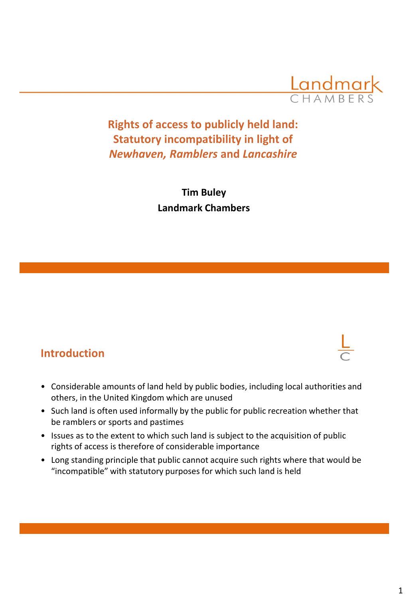

**Rights of access to publicly held land: Statutory incompatibility in light of**  *Newhaven, Ramblers* **and** *Lancashire*

> **Tim Buley Landmark Chambers**

### **Introduction**

- Considerable amounts of land held by public bodies, including local authorities and others, in the United Kingdom which are unused
- Such land is often used informally by the public for public recreation whether that be ramblers or sports and pastimes
- Issues as to the extent to which such land is subject to the acquisition of public rights of access is therefore of considerable importance
- Long standing principle that public cannot acquire such rights where that would be "incompatible" with statutory purposes for which such land is held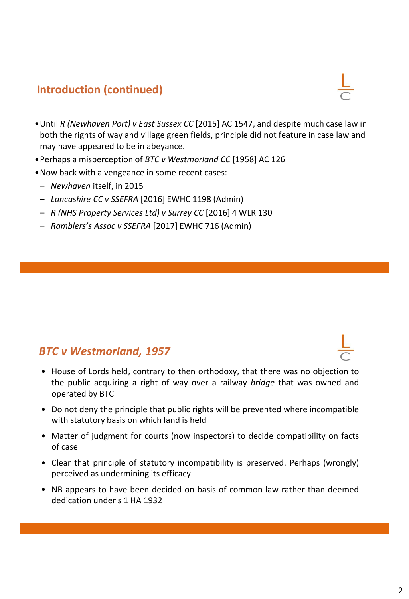## **Introduction (continued)**

- •Until *R (Newhaven Port) v East Sussex CC* [2015] AC 1547, and despite much case law in both the rights of way and village green fields, principle did not feature in case law and may have appeared to be in abeyance.
- •Perhaps a misperception of *BTC v Westmorland CC* [1958] AC 126
- •Now back with a vengeance in some recent cases:
- *Newhaven* itself, in 2015
- *Lancashire CC v SSEFRA* [2016] EWHC 1198 (Admin)
- *R (NHS Property Services Ltd) v Surrey CC* [2016] 4 WLR 130
- *Ramblers's Assoc v SSEFRA* [2017] EWHC 716 (Admin)

#### *BTC v Westmorland, 1957*

- House of Lords held, contrary to then orthodoxy, that there was no objection to the public acquiring a right of way over a railway *bridge* that was owned and operated by BTC
- Do not deny the principle that public rights will be prevented where incompatible with statutory basis on which land is held
- Matter of judgment for courts (now inspectors) to decide compatibility on facts of case
- Clear that principle of statutory incompatibility is preserved. Perhaps (wrongly) perceived as undermining its efficacy
- NB appears to have been decided on basis of common law rather than deemed dedication under s 1 HA 1932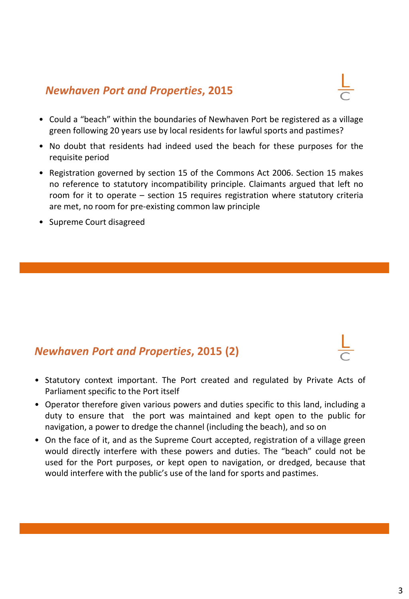# *Newhaven Port and Properties***, 2015**

- Could a "beach" within the boundaries of Newhaven Port be registered as a village green following 20 years use by local residents for lawful sports and pastimes?
- No doubt that residents had indeed used the beach for these purposes for the requisite period
- Registration governed by section 15 of the Commons Act 2006. Section 15 makes no reference to statutory incompatibility principle. Claimants argued that left no room for it to operate – section 15 requires registration where statutory criteria are met, no room for pre-existing common law principle
- Supreme Court disagreed

# *Newhaven Port and Properties***, 2015 (2)**

- Statutory context important. The Port created and regulated by Private Acts of Parliament specific to the Port itself
- Operator therefore given various powers and duties specific to this land, including a duty to ensure that the port was maintained and kept open to the public for navigation, a power to dredge the channel (including the beach), and so on
- On the face of it, and as the Supreme Court accepted, registration of a village green would directly interfere with these powers and duties. The "beach" could not be used for the Port purposes, or kept open to navigation, or dredged, because that would interfere with the public's use of the land for sports and pastimes.

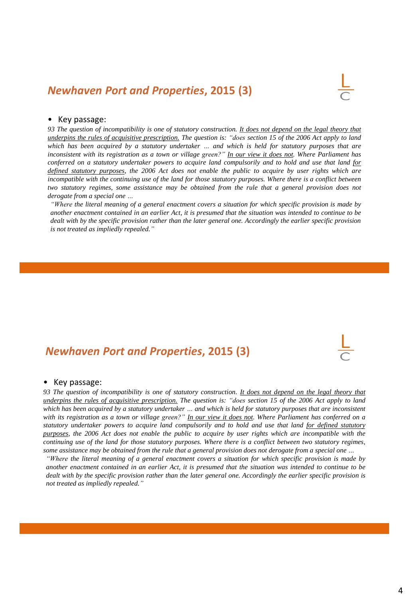#### *Newhaven Port and Properties***, 2015 (3)**

#### • Key passage:

93 The question of incompatibility is one of statutory construction. It does not depend on the legal theory that underpins the rules of acquisitive prescription. The question is: "does section 15 of the 2006 Act apply to land which has been acquired by a statutory undertaker ... and which is held for statutory purposes that are inconsistent with its registration as a town or village green?" In our view it does not. Where Parliament has conferred on a statutory undertaker powers to acquire land compulsorily and to hold and use that land for defined statutory purposes, the 2006 Act does not enable the public to acquire by user rights which are incompatible with the continuing use of the land for those statutory purposes. Where there is a conflict between *two statutory regimes, some assistance may be obtained from the rule that a general provision does not derogate from a special one …*

"Where the literal meaning of a general enactment covers a situation for which specific provision is made by another enactment contained in an earlier Act, it is presumed that the situation was intended to continue to be dealt with by the specific provision rather than the later general one. Accordingly the earlier specific provision *is not treated as impliedly repealed."*

#### *Newhaven Port and Properties***, 2015 (3)**

#### • Key passage:

93 The question of incompatibility is one of statutory construction. It does not depend on the legal theory that underpins the rules of acquisitive prescription. The question is: "does section 15 of the 2006 Act apply to land which has been acquired by a statutory undertaker ... and which is held for statutory purposes that are inconsistent with its registration as a town or village green?" In our view it does not. Where Parliament has conferred on a statutory undertaker powers to acquire land compulsorily and to hold and use that land for defined statutory purposes, the 2006 Act does not enable the public to acquire by user rights which are incompatible with the continuing use of the land for those statutory purposes. Where there is a conflict between two statutory regimes, some assistance may be obtained from the rule that a general provision does not derogate from a special one ...

"Where the literal meaning of a general enactment covers a situation for which specific provision is made by another enactment contained in an earlier Act, it is presumed that the situation was intended to continue to be dealt with by the specific provision rather than the later general one. Accordingly the earlier specific provision is *not treated as impliedly repealed."*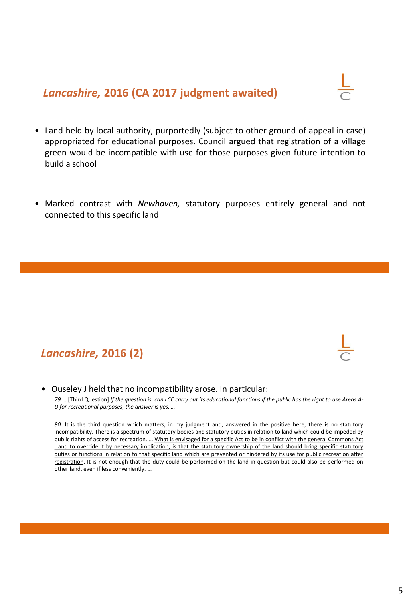## *Lancashire,* **2016 (CA 2017 judgment awaited)**

- 
- Land held by local authority, purportedly (subject to other ground of appeal in case) appropriated for educational purposes. Council argued that registration of a village green would be incompatible with use for those purposes given future intention to build a school
- Marked contrast with *Newhaven,* statutory purposes entirely general and not connected to this specific land

## *Lancashire,* **2016 (2)**

• Ouseley J held that no incompatibility arose. In particular:

79. ... [Third Question] If the question is: can LCC carry out its educational functions if the public has the right to use Areas A-*D for recreational purposes, the answer is yes. …*

*80.* It is the third question which matters, in my judgment and, answered in the positive here, there is no statutory incompatibility. There is a spectrum of statutory bodies and statutory duties in relation to land which could be impeded by public rights of access for recreation. … What is envisaged for a specific Act to be in conflict with the general Commons Act , and to override it by necessary implication, is that the statutory ownership of the land should bring specific statutory duties or functions in relation to that specific land which are prevented or hindered by its use for public recreation after registration. It is not enough that the duty could be performed on the land in question but could also be performed on other land, even if less conveniently. …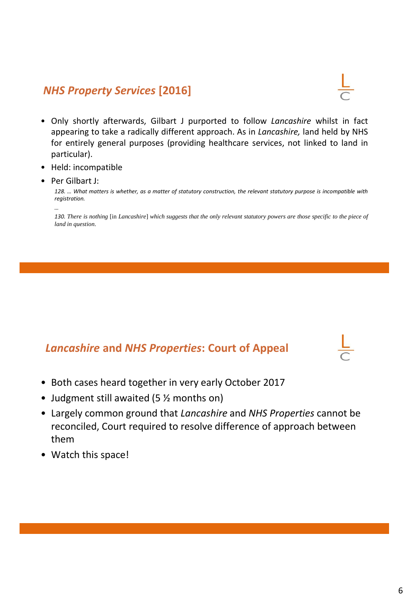## *NHS Property Services* **[2016]**

- 
- Only shortly afterwards, Gilbart J purported to follow *Lancashire* whilst in fact appearing to take a radically different approach. As in *Lancashire,* land held by NHS for entirely general purposes (providing healthcare services, not linked to land in particular).
- Held: incompatible
- Per Gilbart J:

*…*

128. ... What matters is whether, as a matter of statutory construction, the relevant statutory purpose is incompatible with *registration.*

130. There is nothing [in Lancashire] which suggests that the only relevant statutory powers are those specific to the piece of *land in question.*

## *Lancashire* **and** *NHS Properties***: Court of Appeal**

- Both cases heard together in very early October 2017
- Judgment still awaited (5 % months on)
- Largely common ground that *Lancashire* and *NHS Properties* cannot be reconciled, Court required to resolve difference of approach between them
- Watch this space!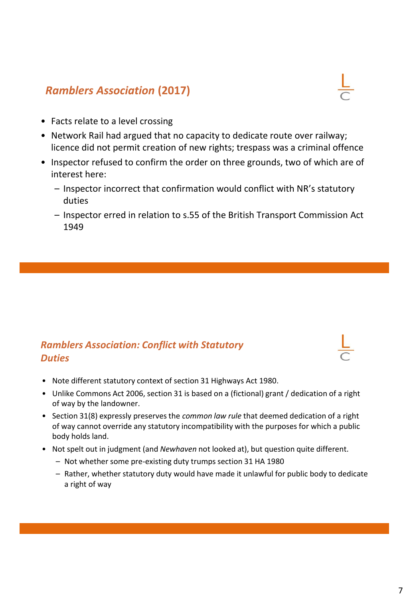## *Ramblers Association* **(2017)**

- Facts relate to a level crossing
- Network Rail had argued that no capacity to dedicate route over railway; licence did not permit creation of new rights; trespass was a criminal offence
- Inspector refused to confirm the order on three grounds, two of which are of interest here:
	- Inspector incorrect that confirmation would conflict with NR's statutory duties
	- Inspector erred in relation to s.55 of the British Transport Commission Act 1949

#### *Ramblers Association: Conflict with Statutory Duties*

- Note different statutory context of section 31 Highways Act 1980.
- Unlike Commons Act 2006, section 31 is based on a (fictional) grant / dedication of a right of way by the landowner.
- Section 31(8) expressly preserves the *common law rule* that deemed dedication of a right of way cannot override any statutory incompatibility with the purposes for which a public body holds land.
- Not spelt out in judgment (and *Newhaven* not looked at), but question quite different.
	- Not whether some pre-existing duty trumps section 31 HA 1980
	- Rather, whether statutory duty would have made it unlawful for public body to dedicate a right of way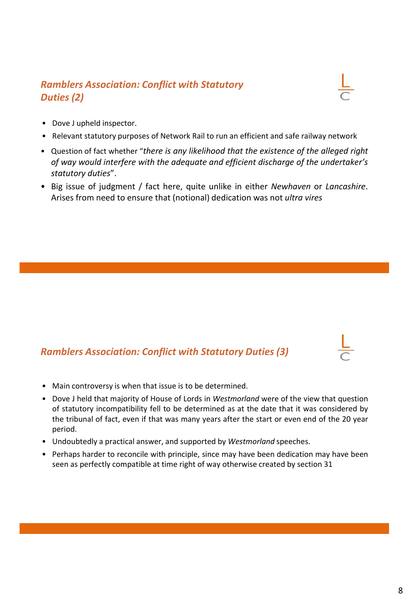#### *Ramblers Association: Conflict with Statutory Duties (2)*



- Dove J upheld inspector.
- Relevant statutory purposes of Network Rail to run an efficient and safe railway network
- Question of fact whether "*there is any likelihood that the existence of the alleged right of way would interfere with the adequate and efficient discharge of the undertaker's statutory duties*".
- Big issue of judgment / fact here, quite unlike in either *Newhaven* or *Lancashire*. Arises from need to ensure that (notional) dedication was not *ultra vires*

#### *Ramblers Association: Conflict with Statutory Duties (3)*

- Main controversy is when that issue is to be determined.
- Dove J held that majority of House of Lords in *Westmorland* were of the view that question of statutory incompatibility fell to be determined as at the date that it was considered by the tribunal of fact, even if that was many years after the start or even end of the 20 year period.
- Undoubtedly a practical answer, and supported by *Westmorland* speeches.
- Perhaps harder to reconcile with principle, since may have been dedication may have been seen as perfectly compatible at time right of way otherwise created by section 31